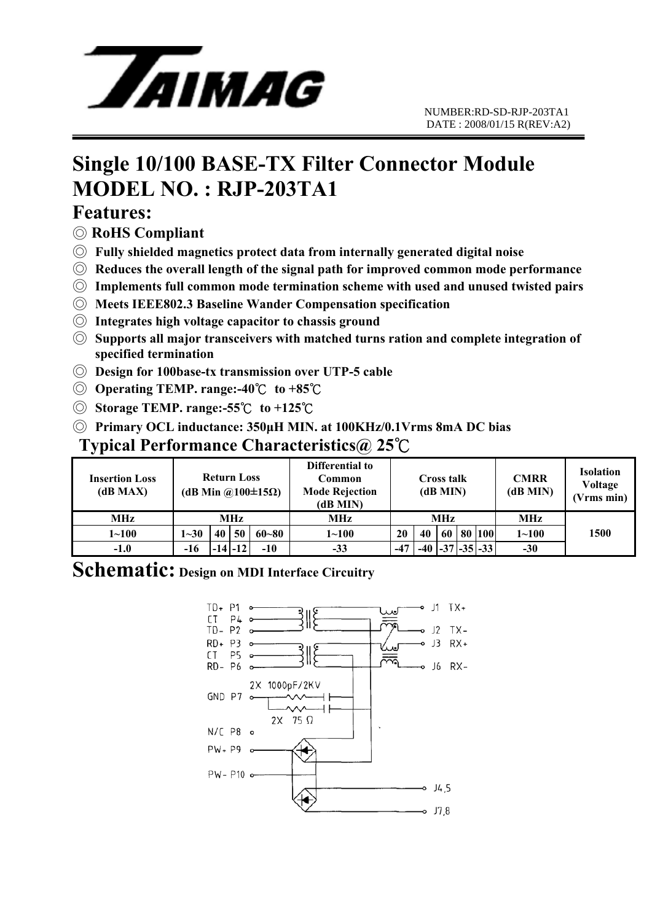

# **Single 10/100 BASE-TX Filter Connector Module MODEL NO. : RJP-203TA1**

#### **Features:**

- ◎ **RoHS Compliant**
- ◎ **Fully shielded magnetics protect data from internally generated digital noise**
- ◎ **Reduces the overall length of the signal path for improved common mode performance**
- ◎ **Implements full common mode termination scheme with used and unused twisted pairs**
- ◎ **Meets IEEE802.3 Baseline Wander Compensation specification**
- ◎ **Integrates high voltage capacitor to chassis ground**
- ◎ **Supports all major transceivers with matched turns ration and complete integration of specified termination**
- ◎ **Design for 100base-tx transmission over UTP-5 cable**
- ◎ **Operating TEMP. range:-40**℃ **to +85**℃
- ◎ **Storage TEMP. range:-55**℃ **to +125**℃
- ◎ **Primary OCL inductance: 350μH MIN. at 100KHz/0.1Vrms 8mA DC bias**

#### **Typical Performance Characteristics@ 25**℃

| <b>Insertion Loss</b><br>(dB MAX) | <b>Return Loss</b><br>(dB Min @100 $\pm$ 15 $\Omega$ ) |    |             |           | Differential to<br>Common<br><b>Mode Rejection</b><br>(dB MIN) | Cross talk<br>(dB MIN) |       |    |  | <b>CMRR</b><br>(dB MIN) | <b>Isolation</b><br>Voltage<br>(Vrms min) |      |
|-----------------------------------|--------------------------------------------------------|----|-------------|-----------|----------------------------------------------------------------|------------------------|-------|----|--|-------------------------|-------------------------------------------|------|
| MHz                               | <b>MHz</b>                                             |    |             |           | MHz                                                            | <b>MHz</b>             |       |    |  |                         | MHz                                       |      |
| $1 - 100$                         | $1 - 30$                                               | 40 | 50          | $60 - 80$ | $1 - 100$                                                      | 20                     | 40    | 60 |  | 80 100                  | $1 - 100$                                 | 1500 |
| $-1.0$                            | $-16$                                                  |    | $-14$ $-12$ | $-10$     | $-33$                                                          | $-47$                  | $-40$ |    |  | $-37$ $-35$ $-33$       | $-30$                                     |      |

### **Schematic: Design on MDI Interface Circuitry**

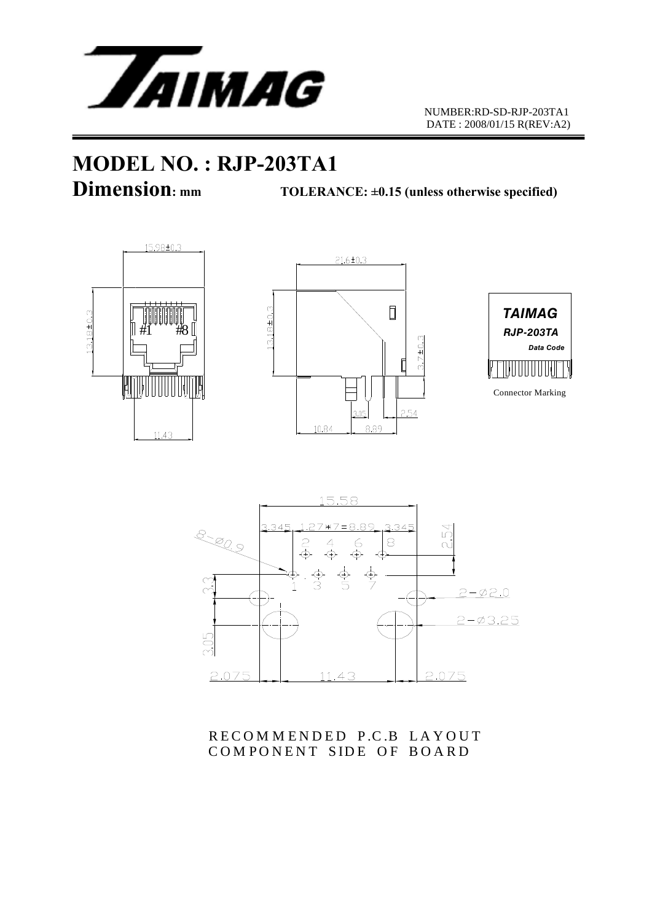

# **MODEL NO. : RJP-203TA1**

**Dimension:** mm TOLERANCE: ±0.15 (unless otherwise specified)









RECOMMENDED P.C.B LAYOUT COMPONENT SIDE OF BOARD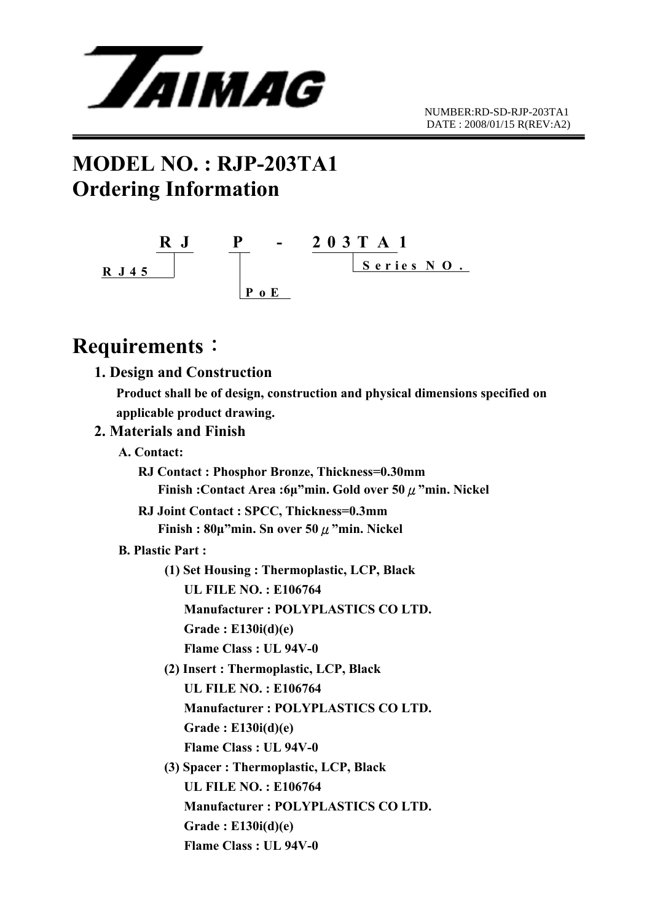

## **MODEL NO. : RJP-203TA1 Ordering Information**



## **Requirements**:

|                         | 1. Design and Construction                                                    |
|-------------------------|-------------------------------------------------------------------------------|
|                         | Product shall be of design, construction and physical dimensions specified on |
|                         | applicable product drawing.                                                   |
| 2. Materials and Finish |                                                                               |
| A. Contact:             |                                                                               |
|                         | RJ Contact: Phosphor Bronze, Thickness=0.30mm                                 |
|                         | Finish: Contact Area: 6µ"min. Gold over 50 $\mu$ "min. Nickel                 |
|                         | RJ Joint Contact : SPCC, Thickness=0.3mm                                      |
|                         | Finish: $80\mu$ "min. Sn over 50 $\mu$ "min. Nickel                           |
| <b>B. Plastic Part:</b> |                                                                               |
|                         | (1) Set Housing: Thermoplastic, LCP, Black                                    |
|                         | <b>UL FILE NO.: E106764</b>                                                   |
|                         | Manufacturer: POLYPLASTICS CO LTD.                                            |
|                         | Grade: $E130i(d)(e)$                                                          |
|                         | <b>Flame Class: UL 94V-0</b>                                                  |
|                         | (2) Insert: Thermoplastic, LCP, Black                                         |
|                         | <b>UL FILE NO.: E106764</b>                                                   |
|                         | Manufacturer: POLYPLASTICS CO LTD.                                            |
|                         | Grade: $E130i(d)(e)$                                                          |
|                         | Flame Class: UL 94V-0                                                         |
|                         | (3) Spacer: Thermoplastic, LCP, Black                                         |
|                         | <b>UL FILE NO.: E106764</b>                                                   |
|                         | Manufacturer: POLYPLASTICS CO LTD.                                            |
|                         | Grade: $E130i(d)(e)$                                                          |
|                         | <b>Flame Class: UL 94V-0</b>                                                  |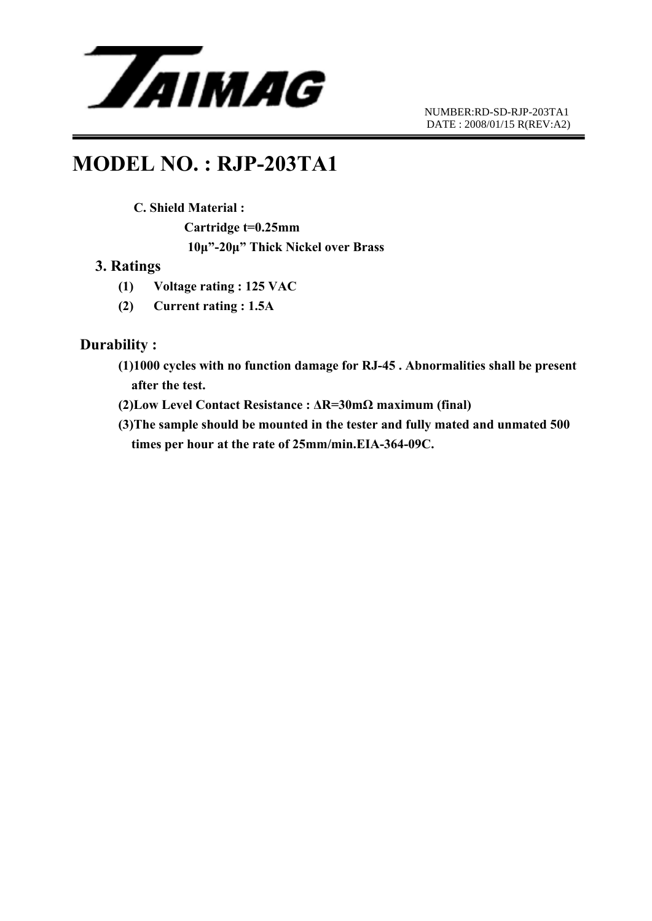

### **MODEL NO. : RJP-203TA1**

#### **C. Shield Material :**

 **Cartridge t=0.25mm 10μ"-20μ" Thick Nickel over Brass** 

#### **3. Ratings**

- **(1) Voltage rating : 125 VAC**
- **(2) Current rating : 1.5A**

#### **Durability :**

- **(1)1000 cycles with no function damage for RJ-45 . Abnormalities shall be present after the test.**
- **(2)Low Level Contact Resistance : ΔR=30mΩ maximum (final)**
- **(3)The sample should be mounted in the tester and fully mated and unmated 500 times per hour at the rate of 25mm/min.EIA-364-09C.**